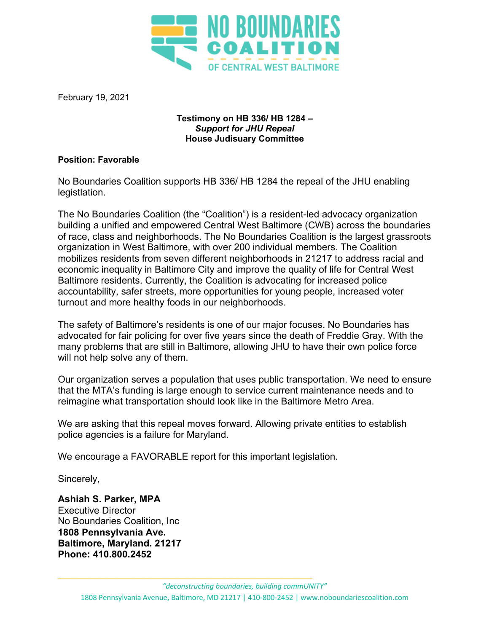

February 19, 2021

## **Testimony on HB 336/ HB 1284 –** *Support for JHU Repeal*  **House Judisuary Committee**

## **Position: Favorable**

No Boundaries Coalition supports HB 336/ HB 1284 the repeal of the JHU enabling legistlation.

The No Boundaries Coalition (the "Coalition") is a resident-led advocacy organization building a unified and empowered Central West Baltimore (CWB) across the boundaries of race, class and neighborhoods. The No Boundaries Coalition is the largest grassroots organization in West Baltimore, with over 200 individual members. The Coalition mobilizes residents from seven different neighborhoods in 21217 to address racial and economic inequality in Baltimore City and improve the quality of life for Central West Baltimore residents. Currently, the Coalition is advocating for increased police accountability, safer streets, more opportunities for young people, increased voter turnout and more healthy foods in our neighborhoods.

The safety of Baltimore's residents is one of our major focuses. No Boundaries has advocated for fair policing for over five years since the death of Freddie Gray. With the many problems that are still in Baltimore, allowing JHU to have their own police force will not help solve any of them.

Our organization serves a population that uses public transportation. We need to ensure that the MTA's funding is large enough to service current maintenance needs and to reimagine what transportation should look like in the Baltimore Metro Area.

We are asking that this repeal moves forward. Allowing private entities to establish police agencies is a failure for Maryland.

We encourage a FAVORABLE report for this important legislation.

Sincerely,

**Ashiah S. Parker, MPA** Executive Director No Boundaries Coalition, Inc **1808 Pennsylvania Ave. Baltimore, Maryland. 21217 Phone: 410.800.2452**